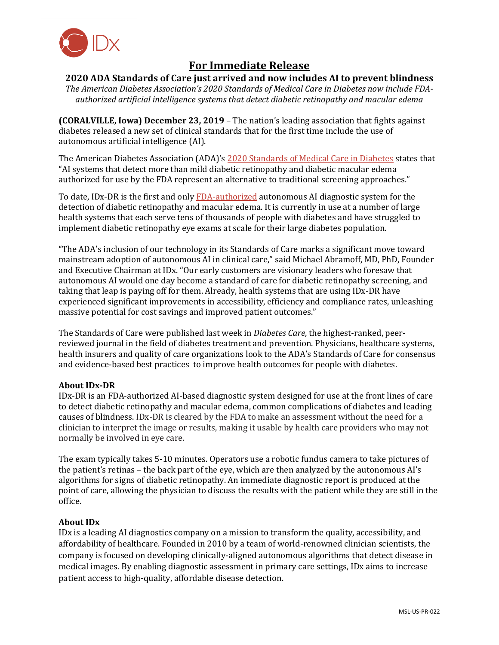

## **For Immediate Release**

**2020 ADA Standards of Care just arrived and now includes AI to prevent blindness** 

*The American Diabetes Association's 2020 Standards of Medical Care in Diabetes now include FDAauthorized artificial intelligence systems that detect diabetic retinopathy and macular edema*

**(CORALVILLE, Iowa) December 23, 2019** – The nation's leading association that fights against diabetes released a new set of clinical standards that for the first time include the use of autonomous artificial intelligence (AI).

The American Diabetes Association (ADA)'s [2020 Standards of Medical Care in Diabetes](https://care.diabetesjournals.org/content/43/Supplement_1/S135) states that "AI systems that detect more than mild diabetic retinopathy and diabetic macular edema authorized for use by the FDA represent an alternative to traditional screening approaches."

To date, IDx-DR is the first and only **FDA-authorized** autonomous AI diagnostic system for the detection of diabetic retinopathy and macular edema. It is currently in use at a number of large health systems that each serve tens of thousands of people with diabetes and have struggled to implement diabetic retinopathy eye exams at scale for their large diabetes population.

"The ADA's inclusion of our technology in its Standards of Care marks a significant move toward mainstream adoption of autonomous AI in clinical care," said Michael Abramoff, MD, PhD, Founder and Executive Chairman at IDx. "Our early customers are visionary leaders who foresaw that autonomous AI would one day become a standard of care for diabetic retinopathy screening, and taking that leap is paying off for them. Already, health systems that are using IDx-DR have experienced significant improvements in accessibility, efficiency and compliance rates, unleashing massive potential for cost savings and improved patient outcomes."

The Standards of Care were published last week in *Diabetes Care*, the highest-ranked, peerreviewed journal in the field of diabetes treatment and prevention. Physicians, healthcare systems, health insurers and quality of care organizations look to the ADA's Standards of Care for consensus and evidence-based best practices to improve health outcomes for people with diabetes.

#### **About IDx-DR**

IDx-DR is an FDA-authorized AI-based diagnostic system designed for use at the front lines of care to detect diabetic retinopathy and macular edema, common complications of diabetes and leading causes of blindness. IDx-DR is cleared by the FDA to make an assessment without the need for a clinician to interpret the image or results, making it usable by health care providers who may not normally be involved in eye care.

The exam typically takes 5-10 minutes. Operators use a robotic fundus camera to take pictures of the patient's retinas – the back part of the eye, which are then analyzed by the autonomous AI's algorithms for signs of diabetic retinopathy. An immediate diagnostic report is produced at the point of care, allowing the physician to discuss the results with the patient while they are still in the office.

#### **About IDx**

IDx is a leading AI diagnostics company on a mission to transform the quality, accessibility, and affordability of healthcare. Founded in 2010 by a team of world-renowned clinician scientists, the company is focused on developing clinically-aligned autonomous algorithms that detect disease in medical images. By enabling diagnostic assessment in primary care settings, IDx aims to increase patient access to high-quality, affordable disease detection.